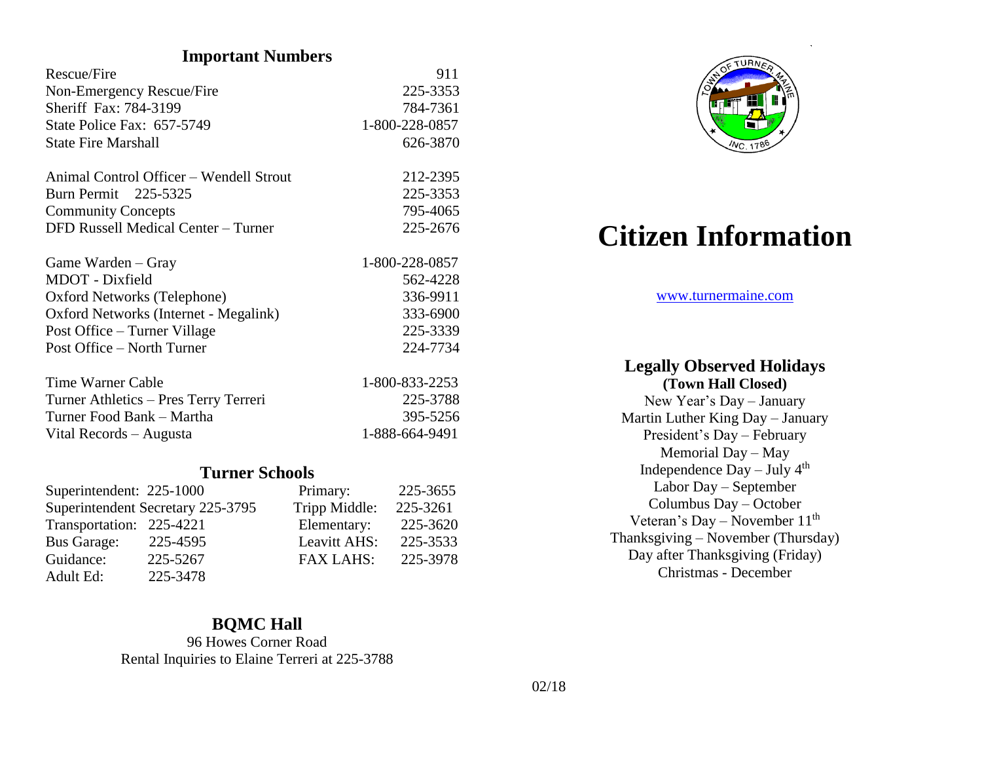# **Important Numbers**

| <b>Rescue/Fire</b>                         | 911            |  |  |
|--------------------------------------------|----------------|--|--|
| Non-Emergency Rescue/Fire                  | 225-3353       |  |  |
| Sheriff Fax: 784-3199                      | 784-7361       |  |  |
| State Police Fax: 657-5749                 | 1-800-228-0857 |  |  |
| <b>State Fire Marshall</b>                 | 626-3870       |  |  |
| Animal Control Officer – Wendell Strout    | 212-2395       |  |  |
| Burn Permit 225-5325                       | 225-3353       |  |  |
| <b>Community Concepts</b>                  | 795-4065       |  |  |
| <b>DFD Russell Medical Center - Turner</b> | 225-2676       |  |  |
| Game Warden – Gray                         | 1-800-228-0857 |  |  |
| <b>MDOT</b> - Dixfield                     | 562-4228       |  |  |
| Oxford Networks (Telephone)                | 336-9911       |  |  |
| Oxford Networks (Internet - Megalink)      | 333-6900       |  |  |
| Post Office – Turner Village               | 225-3339       |  |  |
| Post Office – North Turner                 | 224-7734       |  |  |
| Time Warner Cable                          | 1-800-833-2253 |  |  |
| Turner Athletics - Pres Terry Terreri      | 225-3788       |  |  |
| Turner Food Bank – Martha                  | 395-5256       |  |  |
| Vital Records - Augusta                    | 1-888-664-9491 |  |  |
| <b>Turner Schools</b>                      |                |  |  |

| Superintendent: 225-1000 |                                   | Primary:         | 225-3655 |
|--------------------------|-----------------------------------|------------------|----------|
|                          | Superintendent Secretary 225-3795 | Tripp Middle:    | 225-3261 |
| Transportation: 225-4221 |                                   | Elementary:      | 225-3620 |
| <b>Bus Garage:</b>       | 225-4595                          | Leavitt AHS:     | 225-3533 |
| Guidance:                | 225-5267                          | <b>FAX LAHS:</b> | 225-3978 |
| Adult Ed:                | 225-3478                          |                  |          |

#### **BQMC Hall**

96 Howes Corner Road Rental Inquiries to Elaine Terreri at 225-3788



# **Citizen Information**

#### [www.turnermaine.com](http://www.turnermaine.com/)

# **Legally Observed Holidays**

**(Town Hall Closed)** New Year's Day – January Martin Luther King Day – January President's Day – February Memorial Day – May Independence  $Day - July 4<sup>th</sup>$ Labor Day – September Columbus Day – October Veteran's Day – November  $11<sup>th</sup>$ Thanksgiving – November (Thursday) Day after Thanksgiving (Friday) Christmas - December